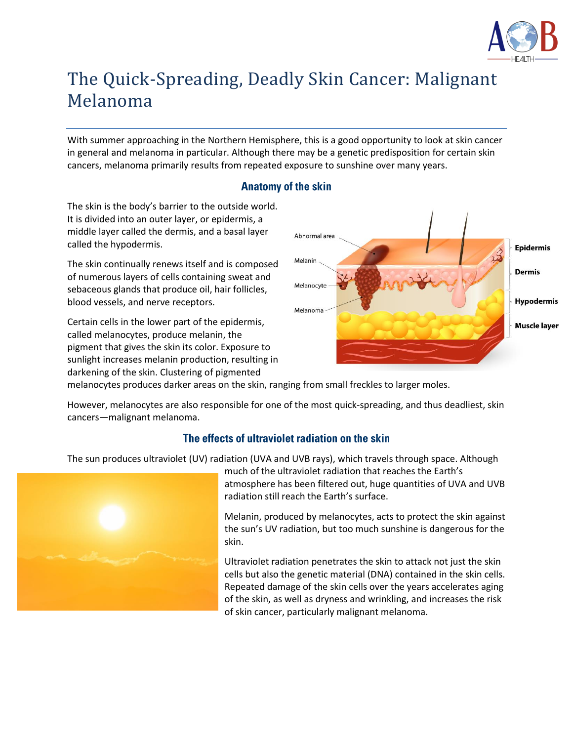

# The Quick-Spreading, Deadly Skin Cancer: Malignant Melanoma

With summer approaching in the Northern Hemisphere, this is a good opportunity to look at skin cancer in general and melanoma in particular. Although there may be a genetic predisposition for certain skin cancers, melanoma primarily results from repeated exposure to sunshine over many years.

## **Anatomy of the skin**

The skin is the body's barrier to the outside world. It is divided into an outer layer, or epidermis, a middle layer called the dermis, and a basal layer called the hypodermis.

The skin continually renews itself and is composed of numerous layers of cells containing sweat and sebaceous glands that produce oil, hair follicles, blood vessels, and nerve receptors.

Certain cells in the lower part of the epidermis, called melanocytes, produce melanin, the pigment that gives the skin its color. Exposure to sunlight increases melanin production, resulting in darkening of the skin. Clustering of pigmented



melanocytes produces darker areas on the skin, ranging from small freckles to larger moles.

However, melanocytes are also responsible for one of the most quick-spreading, and thus deadliest, skin cancers—malignant melanoma.

## The effects of ultraviolet radiation on the skin

The sun produces ultraviolet (UV) radiation (UVA and UVB rays), which travels through space. Although



much of the ultraviolet radiation that reaches the Earth's atmosphere has been filtered out, huge quantities of UVA and UVB radiation still reach the Earth's surface.

Melanin, produced by melanocytes, acts to protect the skin against the sun's UV radiation, but too much sunshine is dangerous for the skin.

Ultraviolet radiation penetrates the skin to attack not just the skin cells but also the genetic material (DNA) contained in the skin cells. Repeated damage of the skin cells over the years accelerates aging of the skin, as well as dryness and wrinkling, and increases the risk of skin cancer, particularly malignant melanoma.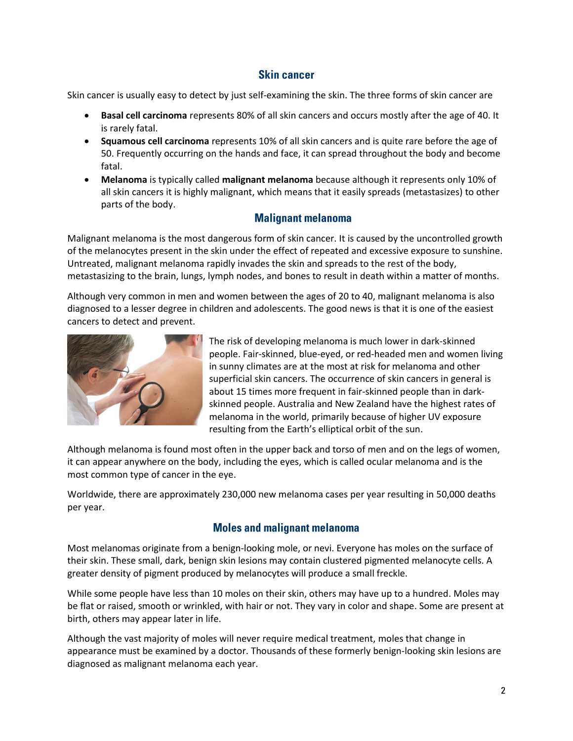#### **Skin cancer**

Skin cancer is usually easy to detect by just self-examining the skin. The three forms of skin cancer are

- **Basal cell carcinoma** represents 80% of all skin cancers and occurs mostly after the age of 40. It is rarely fatal.
- **Squamous cell carcinoma** represents 10% of all skin cancers and is quite rare before the age of 50. Frequently occurring on the hands and face, it can spread throughout the body and become fatal.
- **Melanoma** is typically called **malignant melanoma** because although it represents only 10% of all skin cancers it is highly malignant, which means that it easily spreads (metastasizes) to other parts of the body.

## **Malignant melanoma**

Malignant melanoma is the most dangerous form of skin cancer. It is caused by the uncontrolled growth of the melanocytes present in the skin under the effect of repeated and excessive exposure to sunshine. Untreated, malignant melanoma rapidly invades the skin and spreads to the rest of the body, metastasizing to the brain, lungs, lymph nodes, and bones to result in death within a matter of months.

Although very common in men and women between the ages of 20 to 40, malignant melanoma is also diagnosed to a lesser degree in children and adolescents. The good news is that it is one of the easiest cancers to detect and prevent.



The risk of developing melanoma is much lower in dark-skinned people. Fair-skinned, blue-eyed, or red-headed men and women living in sunny climates are at the most at risk for melanoma and other superficial skin cancers. The occurrence of skin cancers in general is about 15 times more frequent in fair-skinned people than in darkskinned people. Australia and New Zealand have the highest rates of melanoma in the world, primarily because of higher UV exposure resulting from the Earth's elliptical orbit of the sun.

Although melanoma is found most often in the upper back and torso of men and on the legs of women, it can appear anywhere on the body, including the eyes, which is called ocular melanoma and is the most common type of cancer in the eye.

Worldwide, there are approximately 230,000 new melanoma cases per year resulting in 50,000 deaths per year.

## **Moles and malignant melanoma**

Most melanomas originate from a benign-looking mole, or nevi. Everyone has moles on the surface of their skin. These small, dark, benign skin lesions may contain clustered pigmented melanocyte cells. A greater density of pigment produced by melanocytes will produce a small freckle.

While some people have less than 10 moles on their skin, others may have up to a hundred. Moles may be flat or raised, smooth or wrinkled, with hair or not. They vary in color and shape. Some are present at birth, others may appear later in life.

Although the vast majority of moles will never require medical treatment, moles that change in appearance must be examined by a doctor. Thousands of these formerly benign-looking skin lesions are diagnosed as malignant melanoma each year.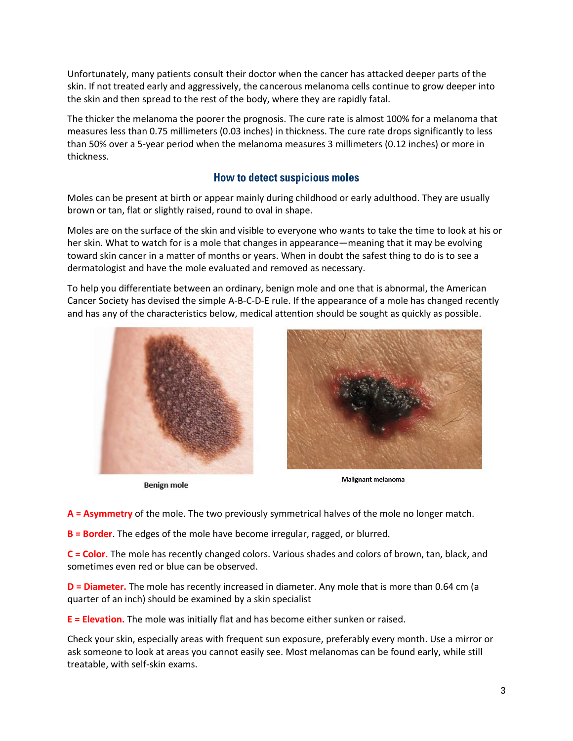Unfortunately, many patients consult their doctor when the cancer has attacked deeper parts of the skin. If not treated early and aggressively, the cancerous melanoma cells continue to grow deeper into the skin and then spread to the rest of the body, where they are rapidly fatal.

The thicker the melanoma the poorer the prognosis. The cure rate is almost 100% for a melanoma that measures less than 0.75 millimeters (0.03 inches) in thickness. The cure rate drops significantly to less than 50% over a 5-year period when the melanoma measures 3 millimeters (0.12 inches) or more in thickness.

#### **How to detect suspicious moles**

Moles can be present at birth or appear mainly during childhood or early adulthood. They are usually brown or tan, flat or slightly raised, round to oval in shape.

Moles are on the surface of the skin and visible to everyone who wants to take the time to look at his or her skin. What to watch for is a mole that changes in appearance—meaning that it may be evolving toward skin cancer in a matter of months or years. When in doubt the safest thing to do is to see a dermatologist and have the mole evaluated and removed as necessary.

To help you differentiate between an ordinary, benign mole and one that is abnormal, the American Cancer Society has devised the simple A-B-C-D-E rule. If the appearance of a mole has changed recently and has any of the characteristics below, medical attention should be sought as quickly as possible.



**Benign mole** 



Malignant melanoma

**A = Asymmetry** of the mole. The two previously symmetrical halves of the mole no longer match.

**B = Border**. The edges of the mole have become irregular, ragged, or blurred.

**C = Color.** The mole has recently changed colors. Various shades and colors of brown, tan, black, and sometimes even red or blue can be observed.

**D = Diameter.** The mole has recently increased in diameter. Any mole that is more than 0.64 cm (a quarter of an inch) should be examined by a skin specialist

**E = Elevation.** The mole was initially flat and has become either sunken or raised.

Check your skin, especially areas with frequent sun exposure, preferably every month. Use a mirror or ask someone to look at areas you cannot easily see. Most melanomas can be found early, while still treatable, with self-skin exams.